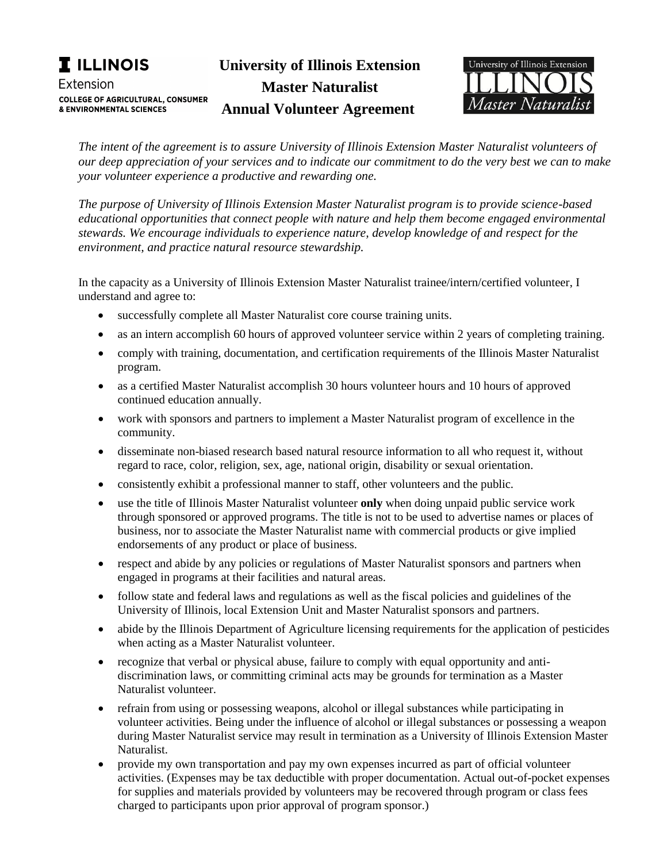**University of Illinois Extension** 

**Master Naturalist Annual Volunteer Agreement** 

**Illinois Extension** 

UNIVERSITY OF ILLINOIS URBANA-CHAMPAIGN



*The intent of the agreement is to assure University of Illinois Extension Master Naturalist volunteers of our deep appreciation of your services and to indicate our commitment to do the very best we can to make your volunteer experience a productive and rewarding one.* 

*The purpose of University of Illinois Extension Master Naturalist program is to provide science-based educational opportunities that connect people with nature and help them become engaged environmental stewards. We encourage individuals to experience nature, develop knowledge of and respect for the environment, and practice natural resource stewardship.*

In the capacity as a University of Illinois Extension Master Naturalist trainee/intern/certified volunteer, I understand and agree to:

- successfully complete all Master Naturalist core course training units.
- as an intern accomplish 60 hours of approved volunteer service within 2 years of completing training.
- comply with training, documentation, and certification requirements of the Illinois Master Naturalist program.
- as a certified Master Naturalist accomplish 30 hours volunteer hours and 10 hours of approved continued education annually.
- work with sponsors and partners to implement a Master Naturalist program of excellence in the community.
- disseminate non-biased research based natural resource information to all who request it, without regard to race, color, religion, sex, age, national origin, disability or sexual orientation.
- consistently exhibit a professional manner to staff, other volunteers and the public.
- use the title of Illinois Master Naturalist volunteer **only** when doing unpaid public service work through sponsored or approved programs. The title is not to be used to advertise names or places of business, nor to associate the Master Naturalist name with commercial products or give implied endorsements of any product or place of business.
- respect and abide by any policies or regulations of Master Naturalist sponsors and partners when engaged in programs at their facilities and natural areas.
- follow state and federal laws and regulations as well as the fiscal policies and guidelines of the University of Illinois, local Extension Unit and Master Naturalist sponsors and partners.
- abide by the Illinois Department of Agriculture licensing requirements for the application of pesticides when acting as a Master Naturalist volunteer.
- recognize that verbal or physical abuse, failure to comply with equal opportunity and antidiscrimination laws, or committing criminal acts may be grounds for termination as a Master Naturalist volunteer.
- refrain from using or possessing weapons, alcohol or illegal substances while participating in volunteer activities. Being under the influence of alcohol or illegal substances or possessing a weapon during Master Naturalist service may result in termination as a University of Illinois Extension Master Naturalist.
- provide my own transportation and pay my own expenses incurred as part of official volunteer activities. (Expenses may be tax deductible with proper documentation. Actual out-of-pocket expenses for supplies and materials provided by volunteers may be recovered through program or class fees charged to participants upon prior approval of program sponsor.)